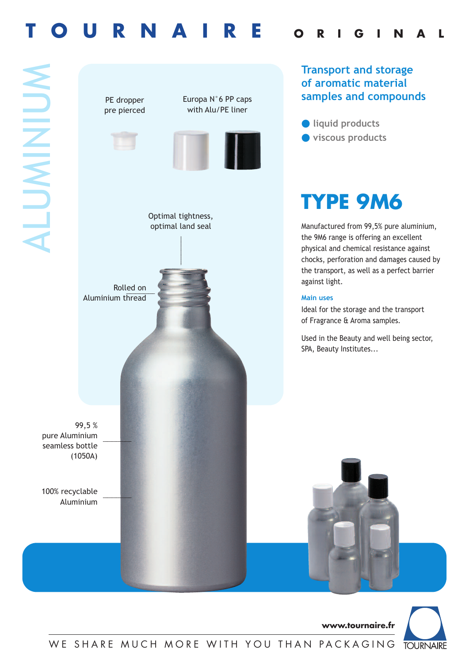# **T O U R N A I R E <sup>O</sup> <sup>R</sup> <sup>I</sup> <sup>G</sup> <sup>I</sup> <sup>N</sup> <sup>A</sup> <sup>L</sup>**





**www.tournaire.fr**

WE SHARE MUCH MORE WITH YOU THAN PACKAGING